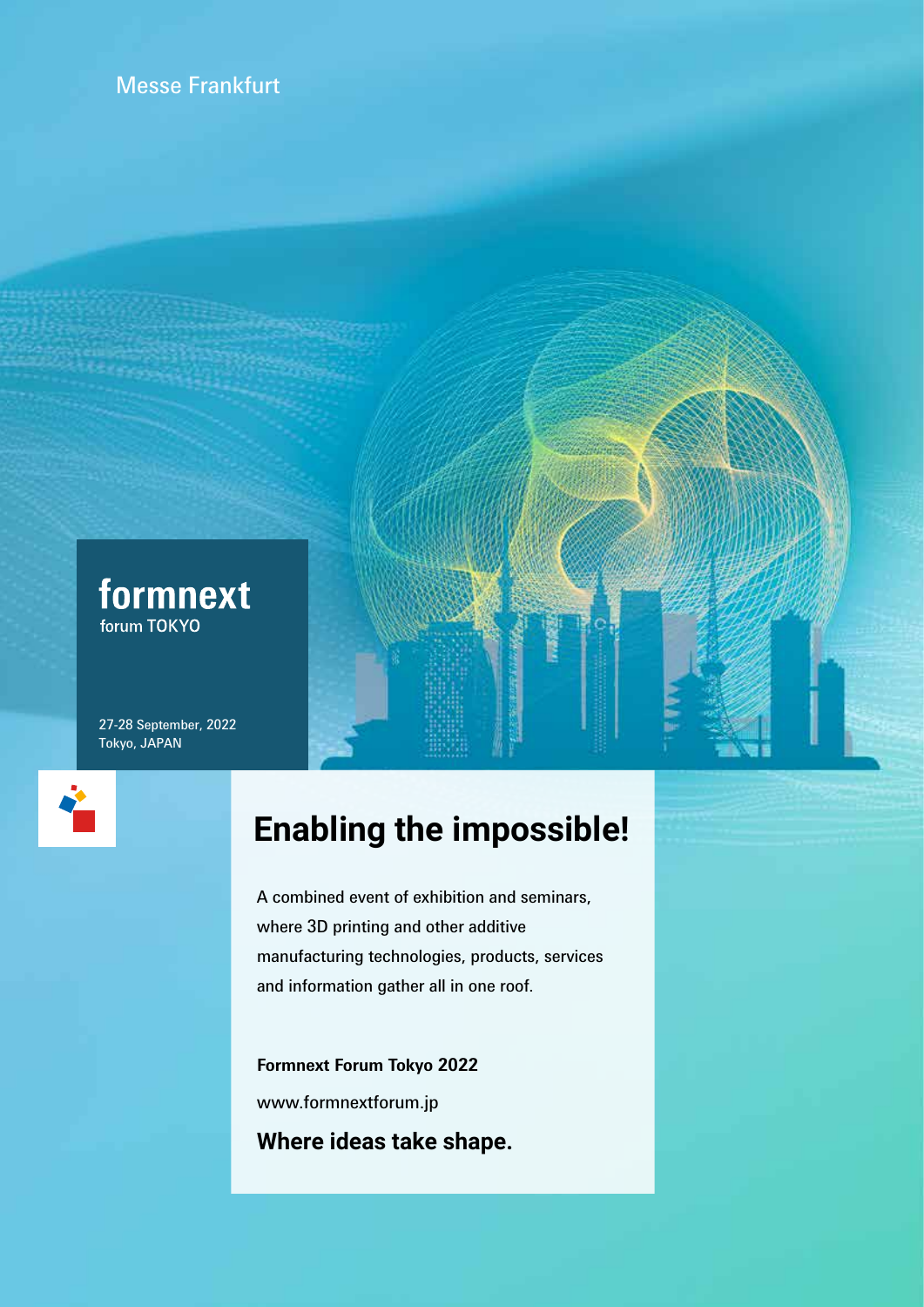



27-28 September, 2022 Tokyo, JAPAN



# **Enabling the impossible!**

A combined event of exhibition and seminars, where 3D printing and other additive manufacturing technologies, products, services and information gather all in one roof.

**Formnext Forum Tokyo 2022** www.formnextforum.jp **Where ideas take shape.**